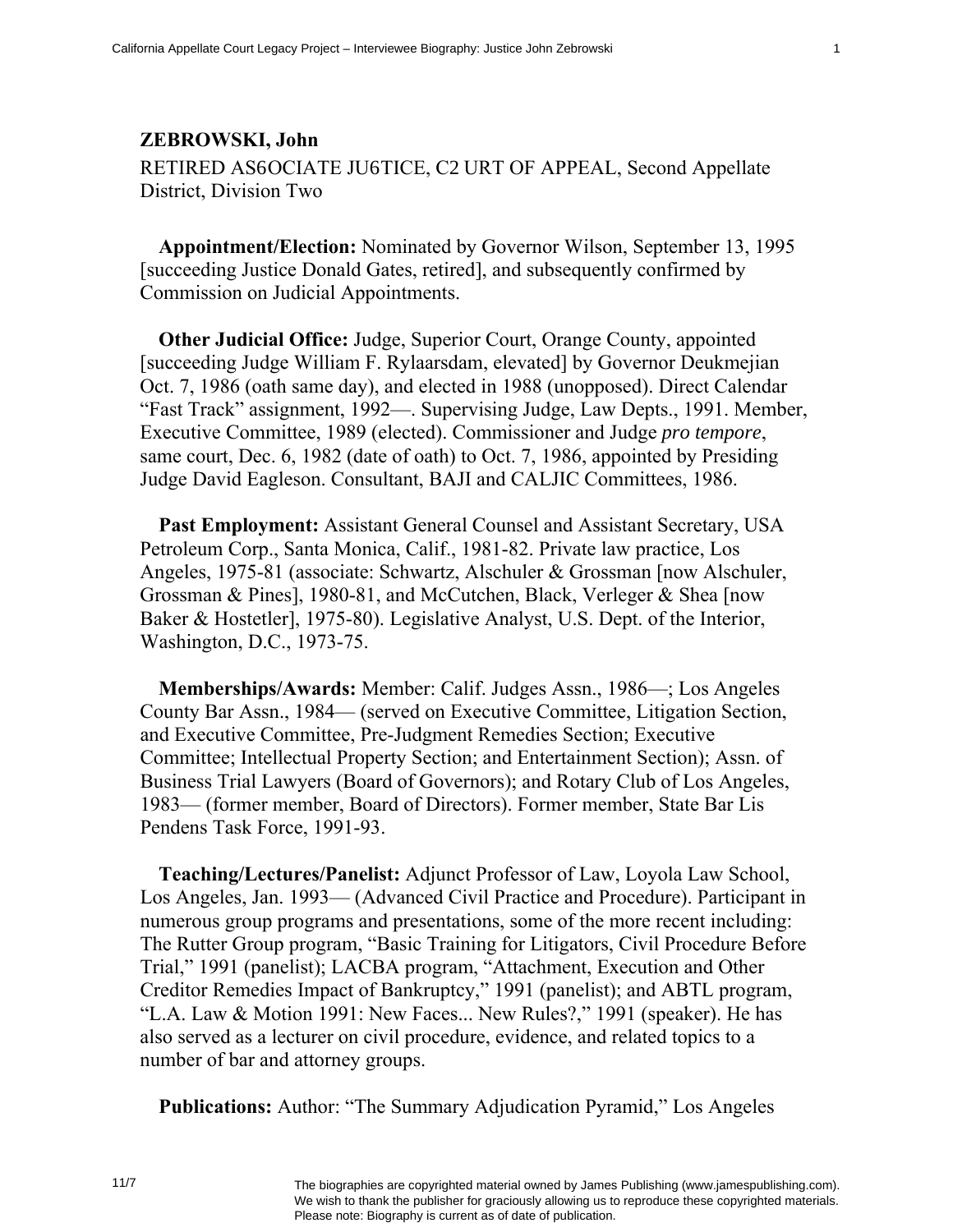## **ZEBROWSKI, John**  RETIRED ASUOCIATE JUUTICE, CQURT OF APPEAL, Second Appellate District, Division Two

**Appointment/Election:** Nominated by Governor Wilson, September 13, 1995 [succeeding Justice Donald Gates, retired], and subsequently confirmed by Commission on Judicial Appointments.

**Other Judicial Office:** Judge, Superior Court, Orange County, appointed [succeeding Judge William F. Rylaarsdam, elevated] by Governor Deukmejian Oct. 7, 1986 (oath same day), and elected in 1988 (unopposed). Direct Calendar "Fast Track" assignment, 1992—. Supervising Judge, Law Depts., 1991. Member, Executive Committee, 1989 (elected). Commissioner and Judge *pro tempore*, same court, Dec. 6, 1982 (date of oath) to Oct. 7, 1986, appointed by Presiding Judge David Eagleson. Consultant, BAJI and CALJIC Committees, 1986.

**Past Employment:** Assistant General Counsel and Assistant Secretary, USA Petroleum Corp., Santa Monica, Calif., 1981-82. Private law practice, Los Angeles, 1975-81 (associate: Schwartz, Alschuler & Grossman [now Alschuler, Grossman & Pines], 1980-81, and McCutchen, Black, Verleger & Shea [now Baker & Hostetler], 1975-80). Legislative Analyst, U.S. Dept. of the Interior, Washington, D.C., 1973-75.

**Memberships/Awards:** Member: Calif. Judges Assn., 1986—; Los Angeles County Bar Assn., 1984— (served on Executive Committee, Litigation Section, and Executive Committee, Pre-Judgment Remedies Section; Executive Committee; Intellectual Property Section; and Entertainment Section); Assn. of Business Trial Lawyers (Board of Governors); and Rotary Club of Los Angeles, 1983— (former member, Board of Directors). Former member, State Bar Lis Pendens Task Force, 1991-93.

**Teaching/Lectures/Panelist:** Adjunct Professor of Law, Loyola Law School, Los Angeles, Jan. 1993— (Advanced Civil Practice and Procedure). Participant in numerous group programs and presentations, some of the more recent including: The Rutter Group program, "Basic Training for Litigators, Civil Procedure Before Trial," 1991 (panelist); LACBA program, "Attachment, Execution and Other Creditor Remedies Impact of Bankruptcy," 1991 (panelist); and ABTL program, "L.A. Law & Motion 1991: New Faces... New Rules?," 1991 (speaker). He has also served as a lecturer on civil procedure, evidence, and related topics to a number of bar and attorney groups.

**Publications:** Author: "The Summary Adjudication Pyramid," Los Angeles